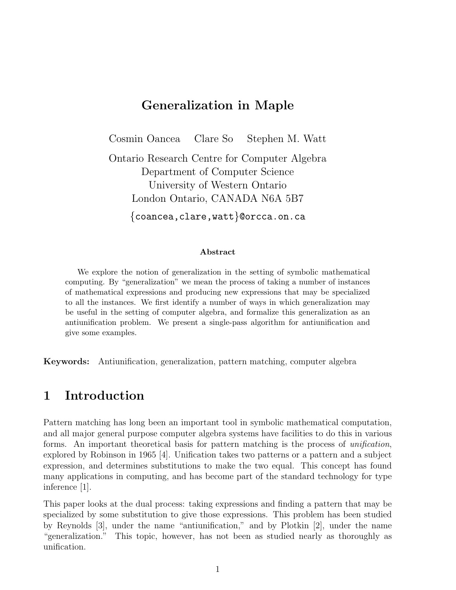### Generalization in Maple

Cosmin Oancea Clare So Stephen M. Watt Ontario Research Centre for Computer Algebra Department of Computer Science University of Western Ontario London Ontario, CANADA N6A 5B7 {coancea,clare,watt}@orcca.on.ca

#### Abstract

We explore the notion of generalization in the setting of symbolic mathematical computing. By "generalization" we mean the process of taking a number of instances of mathematical expressions and producing new expressions that may be specialized to all the instances. We first identify a number of ways in which generalization may be useful in the setting of computer algebra, and formalize this generalization as an antiunification problem. We present a single-pass algorithm for antiunification and give some examples.

Keywords: Antiunification, generalization, pattern matching, computer algebra

#### 1 Introduction

Pattern matching has long been an important tool in symbolic mathematical computation, and all major general purpose computer algebra systems have facilities to do this in various forms. An important theoretical basis for pattern matching is the process of unification, explored by Robinson in 1965 [4]. Unification takes two patterns or a pattern and a subject expression, and determines substitutions to make the two equal. This concept has found many applications in computing, and has become part of the standard technology for type inference [1].

This paper looks at the dual process: taking expressions and finding a pattern that may be specialized by some substitution to give those expressions. This problem has been studied by Reynolds [3], under the name "antiunification," and by Plotkin [2], under the name "generalization." This topic, however, has not been as studied nearly as thoroughly as unification.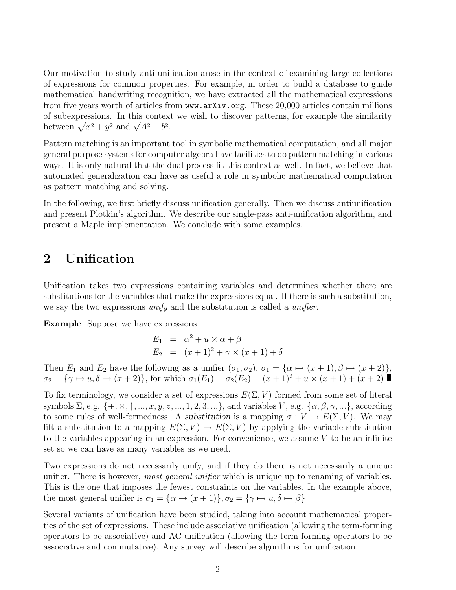Our motivation to study anti-unification arose in the context of examining large collections of expressions for common properties. For example, in order to build a database to guide mathematical handwriting recognition, we have extracted all the mathematical expressions from five years worth of articles from www.arXiv.org. These 20,000 articles contain millions of subexpressions. In this context we wish to discover patterns, for example the similarity or subexpressions. In this contex<br>between  $\sqrt{x^2 + y^2}$  and  $\sqrt{A^2 + b^2}$ .

Pattern matching is an important tool in symbolic mathematical computation, and all major general purpose systems for computer algebra have facilities to do pattern matching in various ways. It is only natural that the dual process fit this context as well. In fact, we believe that automated generalization can have as useful a role in symbolic mathematical computation as pattern matching and solving.

In the following, we first briefly discuss unification generally. Then we discuss antiunification and present Plotkin's algorithm. We describe our single-pass anti-unification algorithm, and present a Maple implementation. We conclude with some examples.

### 2 Unification

Unification takes two expressions containing variables and determines whether there are substitutions for the variables that make the expressions equal. If there is such a substitution, we say the two expressions *unify* and the substitution is called a *unifier*.

Example Suppose we have expressions

$$
E_1 = \alpha^2 + u \times \alpha + \beta
$$
  
\n
$$
E_2 = (x+1)^2 + \gamma \times (x+1) + \delta
$$

Then  $E_1$  and  $E_2$  have the following as a unifier  $(\sigma_1, \sigma_2)$ ,  $\sigma_1 = {\alpha \mapsto (x + 1), \beta \mapsto (x + 2)}$ ,  $\sigma_2 = {\gamma \mapsto u, \delta \mapsto (x + 2)}$ , for which  $\sigma_1(E_1) = \sigma_2(E_2) = (x + 1)^2 + u \times (x + 1) + (x + 2)$ 

To fix terminology, we consider a set of expressions  $E(\Sigma, V)$  formed from some set of literal symbols  $\Sigma$ , e.g.  $\{+, \times, \uparrow, ..., x, y, z, ..., 1, 2, 3, ...\}$ , and variables V, e.g.  $\{\alpha, \beta, \gamma, ...\}$ , according to some rules of well-formedness. A substitution is a mapping  $\sigma: V \to E(\Sigma, V)$ . We may lift a substitution to a mapping  $E(\Sigma, V) \to E(\Sigma, V)$  by applying the variable substitution to the variables appearing in an expression. For convenience, we assume  $V$  to be an infinite set so we can have as many variables as we need.

Two expressions do not necessarily unify, and if they do there is not necessarily a unique unifier. There is however, *most general unifier* which is unique up to renaming of variables. This is the one that imposes the fewest constraints on the variables. In the example above, the most general unifier is  $\sigma_1 = {\alpha \mapsto (x+1)}, \sigma_2 = {\gamma \mapsto u, \delta \mapsto \beta}$ 

Several variants of unification have been studied, taking into account mathematical properties of the set of expressions. These include associative unification (allowing the term-forming operators to be associative) and AC unification (allowing the term forming operators to be associative and commutative). Any survey will describe algorithms for unification.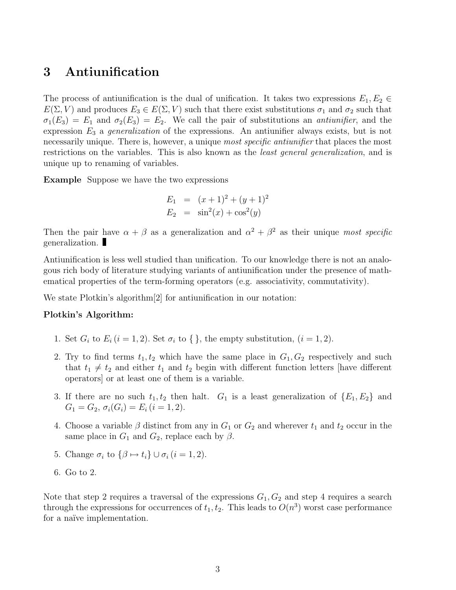## 3 Antiunification

The process of antiunification is the dual of unification. It takes two expressions  $E_1, E_2 \in$  $E(\Sigma, V)$  and produces  $E_3 \in E(\Sigma, V)$  such that there exist substitutions  $\sigma_1$  and  $\sigma_2$  such that  $\sigma_1(E_3) = E_1$  and  $\sigma_2(E_3) = E_2$ . We call the pair of substitutions an *antiunifier*, and the expression  $E_3$  a *generalization* of the expressions. An antiunifier always exists, but is not necessarily unique. There is, however, a unique *most specific antiunifier* that places the most restrictions on the variables. This is also known as the *least general generalization*, and is unique up to renaming of variables.

Example Suppose we have the two expressions

$$
E_1 = (x+1)^2 + (y+1)^2
$$
  
\n
$$
E_2 = \sin^2(x) + \cos^2(y)
$$

Then the pair have  $\alpha + \beta$  as a generalization and  $\alpha^2 + \beta^2$  as their unique most specific generalization.

Antiunification is less well studied than unification. To our knowledge there is not an analogous rich body of literature studying variants of antiunification under the presence of mathematical properties of the term-forming operators (e.g. associativity, commutativity).

We state Plotkin's algorithm[2] for antiunification in our notation:

#### Plotkin's Algorithm:

- 1. Set  $G_i$  to  $E_i$  (i = 1, 2). Set  $\sigma_i$  to { }, the empty substitution, (i = 1, 2).
- 2. Try to find terms  $t_1, t_2$  which have the same place in  $G_1, G_2$  respectively and such that  $t_1 \neq t_2$  and either  $t_1$  and  $t_2$  begin with different function letters [have different operators] or at least one of them is a variable.
- 3. If there are no such  $t_1, t_2$  then halt.  $G_1$  is a least generalization of  $\{E_1, E_2\}$  and  $G_1 = G_2, \sigma_i(G_i) = E_i (i = 1, 2).$
- 4. Choose a variable  $\beta$  distinct from any in  $G_1$  or  $G_2$  and wherever  $t_1$  and  $t_2$  occur in the same place in  $G_1$  and  $G_2$ , replace each by  $\beta$ .
- 5. Change  $\sigma_i$  to  $\{\beta \mapsto t_i\} \cup \sigma_i$   $(i = 1, 2)$ .
- 6. Go to 2.

Note that step 2 requires a traversal of the expressions  $G_1, G_2$  and step 4 requires a search through the expressions for occurrences of  $t_1, t_2$ . This leads to  $O(n^3)$  worst case performance for a naïve implementation.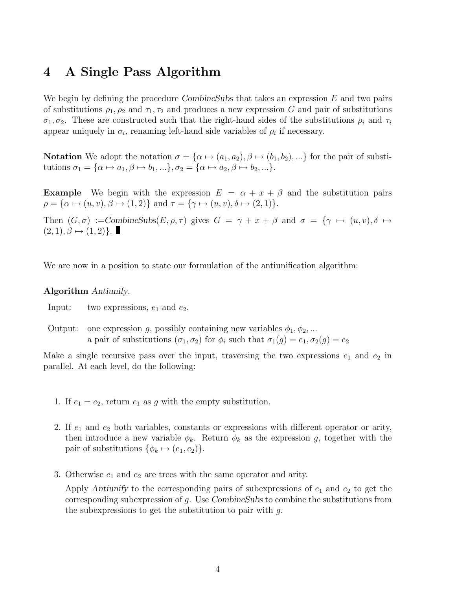### 4 A Single Pass Algorithm

We begin by defining the procedure CombineSubs that takes an expression  $E$  and two pairs of substitutions  $\rho_1, \rho_2$  and  $\tau_1, \tau_2$  and produces a new expression G and pair of substitutions  $\sigma_1, \sigma_2$ . These are constructed such that the right-hand sides of the substitutions  $\rho_i$  and  $\tau_i$ appear uniquely in  $\sigma_i$ , renaming left-hand side variables of  $\rho_i$  if necessary.

**Notation** We adopt the notation  $\sigma = {\alpha \mapsto (a_1, a_2), \beta \mapsto (b_1, b_2), ...}$  for the pair of substitutions  $\sigma_1 = {\alpha \mapsto a_1, \beta \mapsto b_1, \dots}, \sigma_2 = {\alpha \mapsto a_2, \beta \mapsto b_2, \dots}.$ 

**Example** We begin with the expression  $E = \alpha + x + \beta$  and the substitution pairs  $\rho = {\alpha \mapsto (u, v), \beta \mapsto (1, 2)}$  and  $\tau = {\gamma \mapsto (u, v), \delta \mapsto (2, 1)}.$ 

Then  $(G, \sigma) :=$ CombineSubs $(E, \rho, \tau)$  gives  $G = \gamma + x + \beta$  and  $\sigma = {\gamma \mapsto (u, v), \delta \mapsto \phi}$  $(2, 1), \beta \mapsto (1, 2)$ .

We are now in a position to state our formulation of the antiunification algorithm:

#### Algorithm Antiunify.

Input: two expressions,  $e_1$  and  $e_2$ .

Output: one expression g, possibly containing new variables  $\phi_1, \phi_2, \dots$ a pair of substitutions  $(\sigma_1, \sigma_2)$  for  $\phi_i$  such that  $\sigma_1(g) = e_1, \sigma_2(g) = e_2$ 

Make a single recursive pass over the input, traversing the two expressions  $e_1$  and  $e_2$  in parallel. At each level, do the following:

- 1. If  $e_1 = e_2$ , return  $e_1$  as g with the empty substitution.
- 2. If  $e_1$  and  $e_2$  both variables, constants or expressions with different operator or arity, then introduce a new variable  $\phi_k$ . Return  $\phi_k$  as the expression g, together with the pair of substitutions  $\{\phi_k \mapsto (e_1, e_2)\}.$
- 3. Otherwise  $e_1$  and  $e_2$  are trees with the same operator and arity.

Apply Antiunify to the corresponding pairs of subexpressions of  $e_1$  and  $e_2$  to get the corresponding subexpression of  $g$ . Use CombineSubs to combine the substitutions from the subexpressions to get the substitution to pair with  $q$ .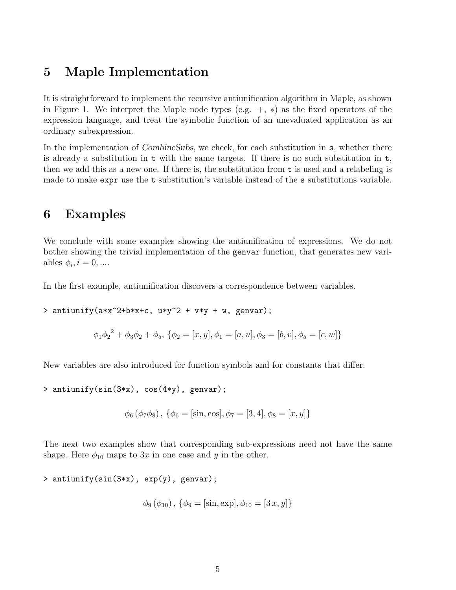### 5 Maple Implementation

It is straightforward to implement the recursive antiunification algorithm in Maple, as shown in Figure 1. We interpret the Maple node types (e.g.  $+, *$ ) as the fixed operators of the expression language, and treat the symbolic function of an unevaluated application as an ordinary subexpression.

In the implementation of CombineSubs, we check, for each substitution in s, whether there is already a substitution in t with the same targets. If there is no such substitution in t, then we add this as a new one. If there is, the substitution from  $t$  is used and a relabeling is made to make expr use the t substitution's variable instead of the s substitutions variable.

### 6 Examples

We conclude with some examples showing the antiunification of expressions. We do not bother showing the trivial implementation of the genvar function, that generates new variables  $\phi_i, i = 0, \dots$ 

In the first example, antiunification discovers a correspondence between variables.

> antiunify(a\*x^2+b\*x+c,  $u*y^2 + v*y + w$ , genvar);

$$
\phi_1 \phi_2^2 + \phi_3 \phi_2 + \phi_5, \{\phi_2 = [x, y], \phi_1 = [a, u], \phi_3 = [b, v], \phi_5 = [c, w]\}
$$

New variables are also introduced for function symbols and for constants that differ.

> antiunify(sin(3\*x), cos(4\*y), genvar);

$$
\phi_6 (\phi_7 \phi_8), \{\phi_6 = [\sin, \cos], \phi_7 = [3, 4], \phi_8 = [x, y]\}
$$

The next two examples show that corresponding sub-expressions need not have the same shape. Here  $\phi_{10}$  maps to 3x in one case and y in the other.

```
> antiunify(sin(3*x), exp(y), genvar);
```

$$
\phi_9 (\phi_{10}), \{\phi_9 = [\sin, \exp], \phi_{10} = [3 x, y]\}
$$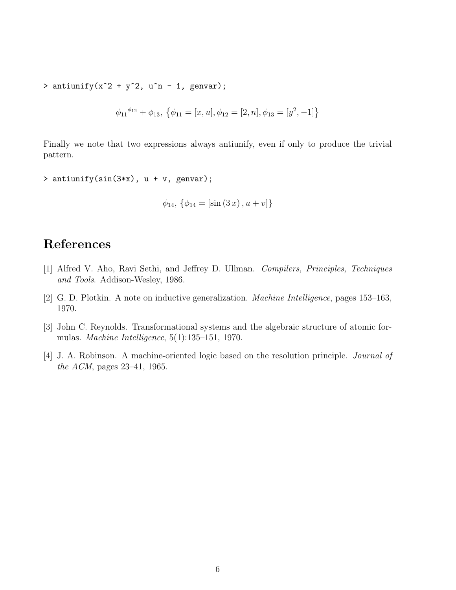> antiunify( $x^2 + y^2$ ,  $u^2 - 1$ , genvar);

$$
\phi_{11}^{\phi_{12}} + \phi_{13}, \{\phi_{11} = [x, u], \phi_{12} = [2, n], \phi_{13} = [y^2, -1]\}
$$

Finally we note that two expressions always antiunify, even if only to produce the trivial pattern.

```
> antiunify(sin(3*x), u + v, genvar);
```

```
\phi_{14}, \{\phi_{14} = [\sin(3x), u + v]\}
```
# References

- [1] Alfred V. Aho, Ravi Sethi, and Jeffrey D. Ullman. Compilers, Principles, Techniques and Tools. Addison-Wesley, 1986.
- [2] G. D. Plotkin. A note on inductive generalization. Machine Intelligence, pages 153–163, 1970.
- [3] John C. Reynolds. Transformational systems and the algebraic structure of atomic formulas. Machine Intelligence, 5(1):135–151, 1970.
- [4] J. A. Robinson. A machine-oriented logic based on the resolution principle. Journal of the ACM, pages 23–41, 1965.